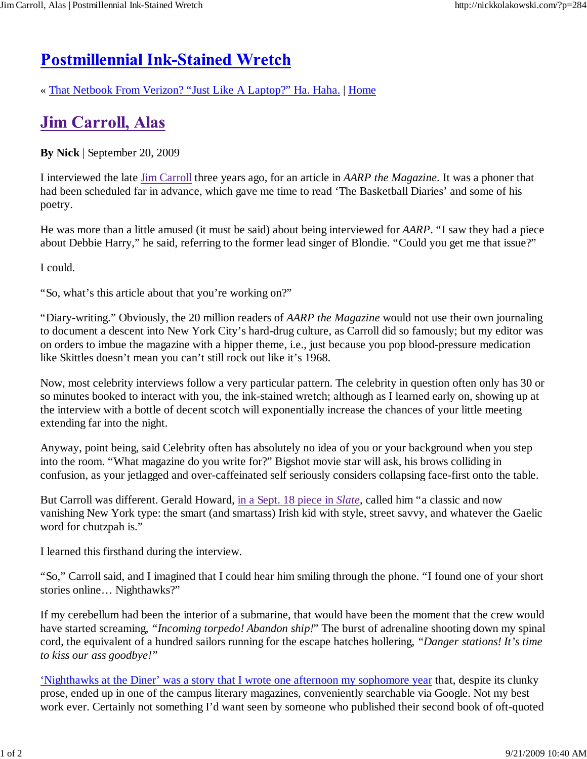## **Postmillennial Ink-Stained Wretch**

« That Netbook From Verizon? "Just Like A Laptop?" Ha. Haha. | Home

## **Jim Carroll, Alas**

**By Nick** | September 20, 2009

I interviewed the late Jim Carroll three years ago, for an article in *AARP the Magazine.* It was a phoner that had been scheduled far in advance, which gave me time to read 'The Basketball Diaries' and some of his poetry.

He was more than a little amused (it must be said) about being interviewed for *AARP*. "I saw they had a piece about Debbie Harry," he said, referring to the former lead singer of Blondie. "Could you get me that issue?"

I could.

"So, what's this article about that you're working on?"

"Diary-writing." Obviously, the 20 million readers of *AARP the Magazine* would not use their own journaling to document a descent into New York City's hard-drug culture, as Carroll did so famously; but my editor was on orders to imbue the magazine with a hipper theme, i.e., just because you pop blood-pressure medication like Skittles doesn't mean you can't still rock out like it's 1968.

Now, most celebrity interviews follow a very particular pattern. The celebrity in question often only has 30 or so minutes booked to interact with you, the ink-stained wretch; although as I learned early on, showing up at the interview with a bottle of decent scotch will exponentially increase the chances of your little meeting extending far into the night.

Anyway, point being, said Celebrity often has absolutely no idea of you or your background when you step into the room. "What magazine do you write for?" Bigshot movie star will ask, his brows colliding in confusion, as your jetlagged and over-caffeinated self seriously considers collapsing face-first onto the table.

But Carroll was different. Gerald Howard, in a Sept. 18 piece in *Slate*, called him "a classic and now vanishing New York type: the smart (and smartass) Irish kid with style, street savvy, and whatever the Gaelic word for chutzpah is."

I learned this firsthand during the interview.

"So," Carroll said, and I imagined that I could hear him smiling through the phone. "I found one of your short stories online… Nighthawks?"

If my cerebellum had been the interior of a submarine, that would have been the moment that the crew would have started screaming, *"Incoming torpedo! Abandon ship!*" The burst of adrenaline shooting down my spinal cord, the equivalent of a hundred sailors running for the escape hatches hollering, *"Danger stations! It's time to kiss our ass goodbye!"*

'Nighthawks at the Diner' was a story that I wrote one afternoon my sophomore year that, despite its clunky prose, ended up in one of the campus literary magazines, conveniently searchable via Google. Not my best work ever. Certainly not something I'd want seen by someone who published their second book of oft-quoted